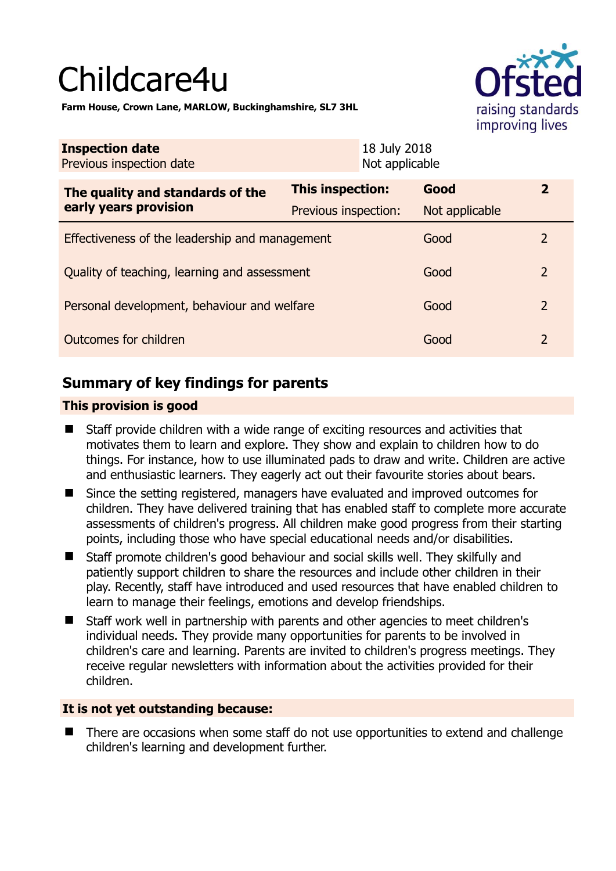# Childcare4u



**Farm House, Crown Lane, MARLOW, Buckinghamshire, SL7 3HL** 

| <b>Inspection date</b><br>Previous inspection date        | 18 July 2018<br>Not applicable |                |                |
|-----------------------------------------------------------|--------------------------------|----------------|----------------|
| The quality and standards of the<br>early years provision | <b>This inspection:</b>        | Good           | $\mathbf{2}$   |
|                                                           | Previous inspection:           | Not applicable |                |
| Effectiveness of the leadership and management            |                                | Good           | $\mathcal{P}$  |
| Quality of teaching, learning and assessment              |                                | Good           | $\overline{2}$ |
| Personal development, behaviour and welfare               |                                | Good           | $\overline{2}$ |
| Outcomes for children                                     |                                | Good           | $\overline{2}$ |

# **Summary of key findings for parents**

## **This provision is good**

- Staff provide children with a wide range of exciting resources and activities that motivates them to learn and explore. They show and explain to children how to do things. For instance, how to use illuminated pads to draw and write. Children are active and enthusiastic learners. They eagerly act out their favourite stories about bears.
- Since the setting registered, managers have evaluated and improved outcomes for children. They have delivered training that has enabled staff to complete more accurate assessments of children's progress. All children make good progress from their starting points, including those who have special educational needs and/or disabilities.
- Staff promote children's good behaviour and social skills well. They skilfully and patiently support children to share the resources and include other children in their play. Recently, staff have introduced and used resources that have enabled children to learn to manage their feelings, emotions and develop friendships.
- Staff work well in partnership with parents and other agencies to meet children's individual needs. They provide many opportunities for parents to be involved in children's care and learning. Parents are invited to children's progress meetings. They receive regular newsletters with information about the activities provided for their children.

## **It is not yet outstanding because:**

■ There are occasions when some staff do not use opportunities to extend and challenge children's learning and development further.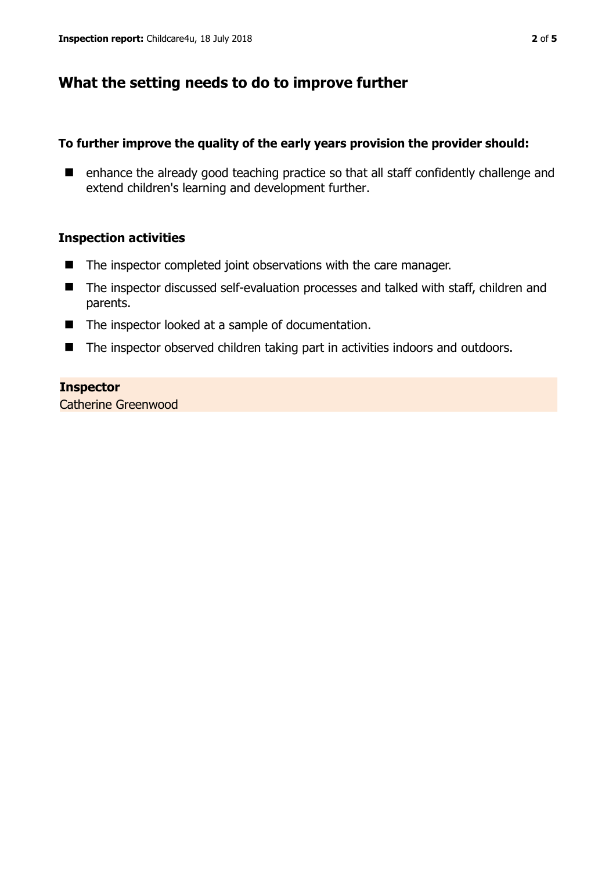# **What the setting needs to do to improve further**

### **To further improve the quality of the early years provision the provider should:**

■ enhance the already good teaching practice so that all staff confidently challenge and extend children's learning and development further.

#### **Inspection activities**

- The inspector completed joint observations with the care manager.
- The inspector discussed self-evaluation processes and talked with staff, children and parents.
- The inspector looked at a sample of documentation.
- The inspector observed children taking part in activities indoors and outdoors.

#### **Inspector**

Catherine Greenwood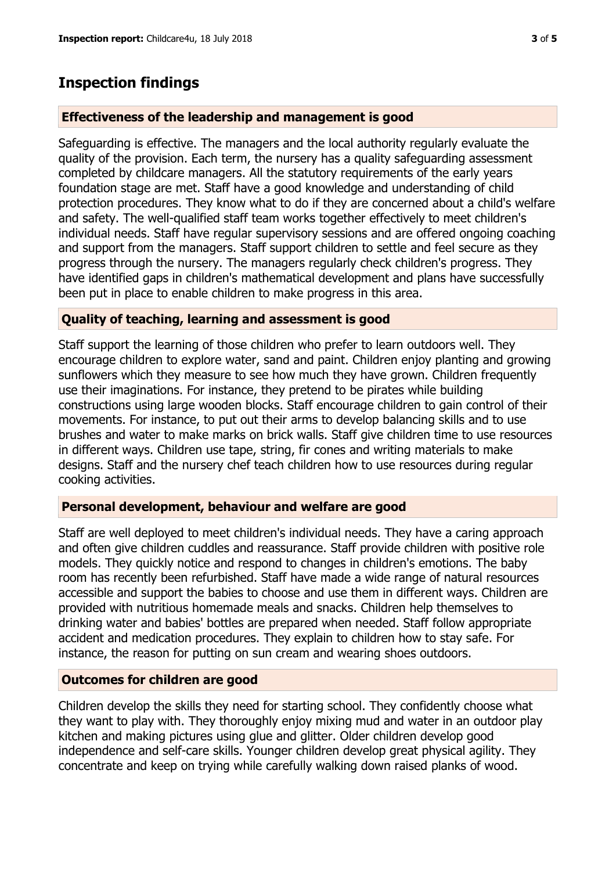## **Inspection findings**

#### **Effectiveness of the leadership and management is good**

Safeguarding is effective. The managers and the local authority regularly evaluate the quality of the provision. Each term, the nursery has a quality safeguarding assessment completed by childcare managers. All the statutory requirements of the early years foundation stage are met. Staff have a good knowledge and understanding of child protection procedures. They know what to do if they are concerned about a child's welfare and safety. The well-qualified staff team works together effectively to meet children's individual needs. Staff have regular supervisory sessions and are offered ongoing coaching and support from the managers. Staff support children to settle and feel secure as they progress through the nursery. The managers regularly check children's progress. They have identified gaps in children's mathematical development and plans have successfully been put in place to enable children to make progress in this area.

#### **Quality of teaching, learning and assessment is good**

Staff support the learning of those children who prefer to learn outdoors well. They encourage children to explore water, sand and paint. Children enjoy planting and growing sunflowers which they measure to see how much they have grown. Children frequently use their imaginations. For instance, they pretend to be pirates while building constructions using large wooden blocks. Staff encourage children to gain control of their movements. For instance, to put out their arms to develop balancing skills and to use brushes and water to make marks on brick walls. Staff give children time to use resources in different ways. Children use tape, string, fir cones and writing materials to make designs. Staff and the nursery chef teach children how to use resources during regular cooking activities.

#### **Personal development, behaviour and welfare are good**

Staff are well deployed to meet children's individual needs. They have a caring approach and often give children cuddles and reassurance. Staff provide children with positive role models. They quickly notice and respond to changes in children's emotions. The baby room has recently been refurbished. Staff have made a wide range of natural resources accessible and support the babies to choose and use them in different ways. Children are provided with nutritious homemade meals and snacks. Children help themselves to drinking water and babies' bottles are prepared when needed. Staff follow appropriate accident and medication procedures. They explain to children how to stay safe. For instance, the reason for putting on sun cream and wearing shoes outdoors.

#### **Outcomes for children are good**

Children develop the skills they need for starting school. They confidently choose what they want to play with. They thoroughly enjoy mixing mud and water in an outdoor play kitchen and making pictures using glue and glitter. Older children develop good independence and self-care skills. Younger children develop great physical agility. They concentrate and keep on trying while carefully walking down raised planks of wood.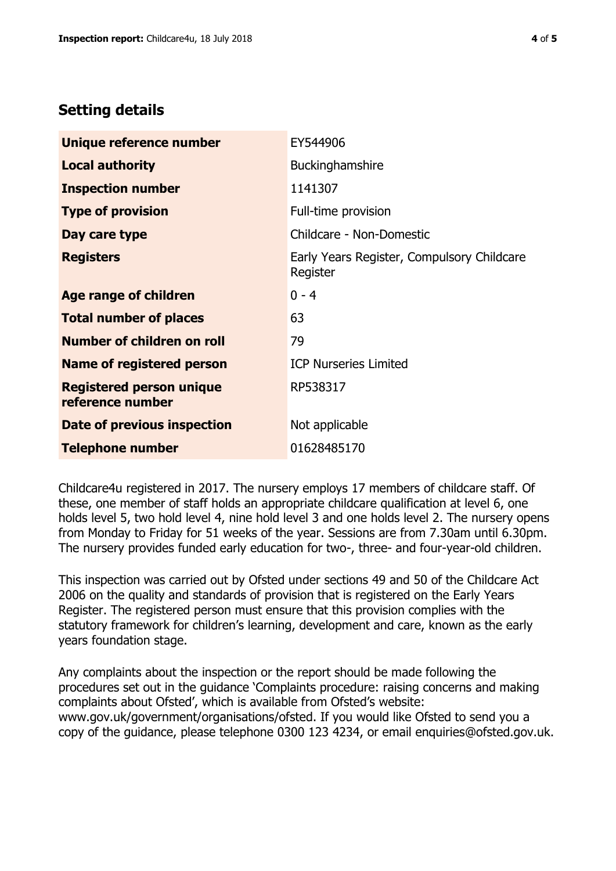# **Setting details**

| Unique reference number                             | EY544906                                               |  |
|-----------------------------------------------------|--------------------------------------------------------|--|
| <b>Local authority</b>                              | Buckinghamshire                                        |  |
| <b>Inspection number</b>                            | 1141307                                                |  |
| <b>Type of provision</b>                            | Full-time provision                                    |  |
| Day care type                                       | Childcare - Non-Domestic                               |  |
| <b>Registers</b>                                    | Early Years Register, Compulsory Childcare<br>Register |  |
| Age range of children                               | $0 - 4$                                                |  |
| <b>Total number of places</b>                       | 63                                                     |  |
| Number of children on roll                          | 79                                                     |  |
| Name of registered person                           | <b>ICP Nurseries Limited</b>                           |  |
| <b>Registered person unique</b><br>reference number | RP538317                                               |  |
| Date of previous inspection                         | Not applicable                                         |  |
| <b>Telephone number</b>                             | 01628485170                                            |  |

Childcare4u registered in 2017. The nursery employs 17 members of childcare staff. Of these, one member of staff holds an appropriate childcare qualification at level 6, one holds level 5, two hold level 4, nine hold level 3 and one holds level 2. The nursery opens from Monday to Friday for 51 weeks of the year. Sessions are from 7.30am until 6.30pm. The nursery provides funded early education for two-, three- and four-year-old children.

This inspection was carried out by Ofsted under sections 49 and 50 of the Childcare Act 2006 on the quality and standards of provision that is registered on the Early Years Register. The registered person must ensure that this provision complies with the statutory framework for children's learning, development and care, known as the early years foundation stage.

Any complaints about the inspection or the report should be made following the procedures set out in the guidance 'Complaints procedure: raising concerns and making complaints about Ofsted', which is available from Ofsted's website: www.gov.uk/government/organisations/ofsted. If you would like Ofsted to send you a copy of the guidance, please telephone 0300 123 4234, or email enquiries@ofsted.gov.uk.